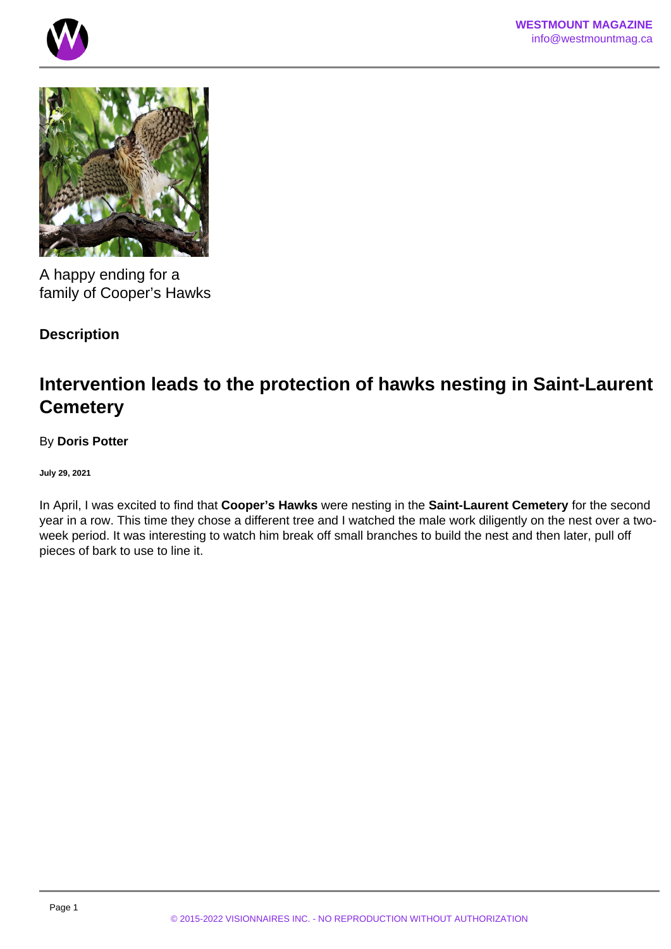



A happy ending for a family of Cooper's Hawks

## **Description**

## **Intervention leads to the protection of hawks nesting in Saint-Laurent Cemetery**

## By **Doris Potter**

**July 29, 2021**

In April, I was excited to find that **Cooper's Hawks** were nesting in the **Saint-Laurent Cemetery** for the second year in a row. This time they chose a different tree and I watched the male work diligently on the nest over a twoweek period. It was interesting to watch him break off small branches to build the nest and then later, pull off pieces of bark to use to line it.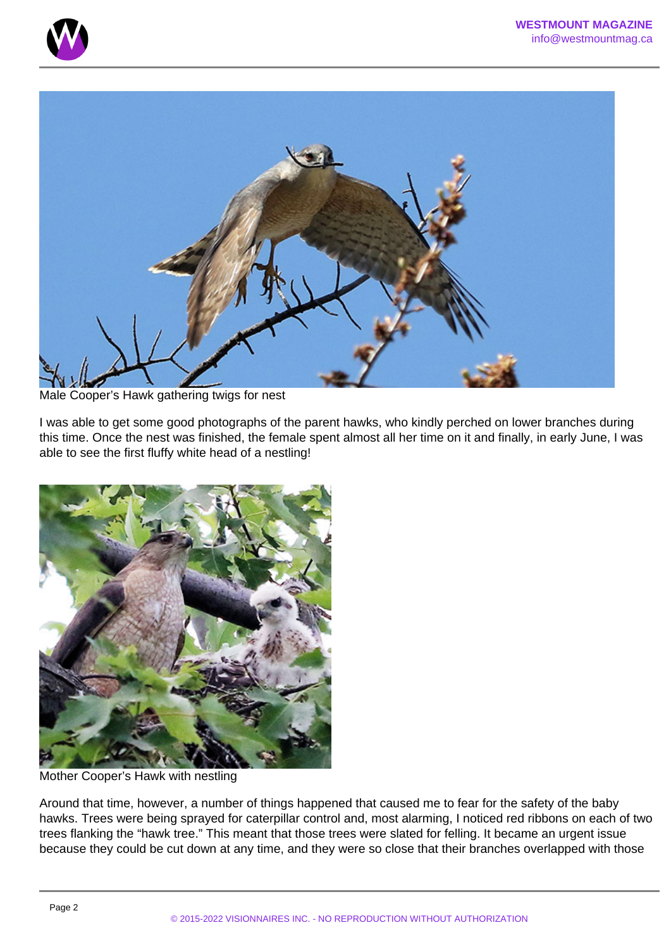



Male Cooper's Hawk gathering twigs for nest

I was able to get some good photographs of the parent hawks, who kindly perched on lower branches during this time. Once the nest was finished, the female spent almost all her time on it and finally, in early June, I was able to see the first fluffy white head of a nestling!



Mother Cooper's Hawk with nestling

Around that time, however, a number of things happened that caused me to fear for the safety of the baby hawks. Trees were being sprayed for caterpillar control and, most alarming, I noticed red ribbons on each of two trees flanking the "hawk tree." This meant that those trees were slated for felling. It became an urgent issue because they could be cut down at any time, and they were so close that their branches overlapped with those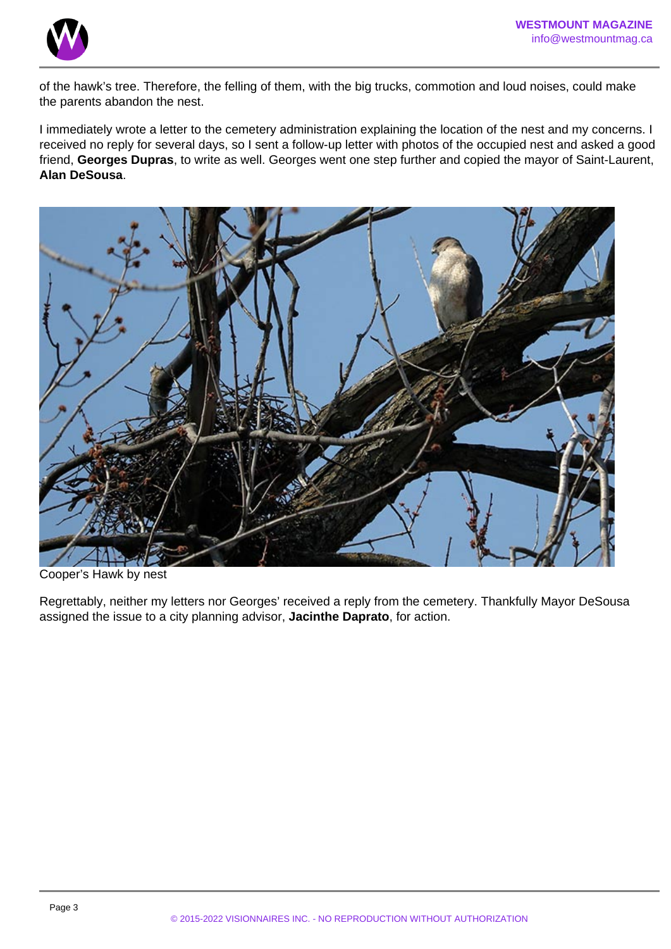

of the hawk's tree. Therefore, the felling of them, with the big trucks, commotion and loud noises, could make the parents abandon the nest.

I immediately wrote a letter to the cemetery administration explaining the location of the nest and my concerns. I received no reply for several days, so I sent a follow-up letter with photos of the occupied nest and asked a good friend, **Georges Dupras**, to write as well. Georges went one step further and copied the mayor of Saint-Laurent, **Alan DeSousa**.



Cooper's Hawk by nest

Regrettably, neither my letters nor Georges' received a reply from the cemetery. Thankfully Mayor DeSousa assigned the issue to a city planning advisor, **Jacinthe Daprato**, for action.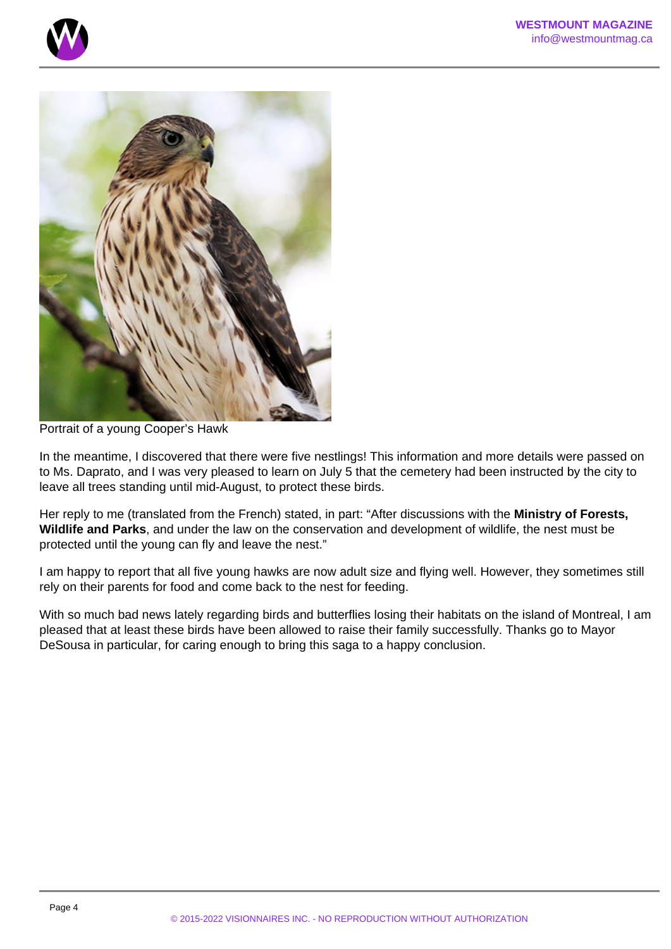



Portrait of a young Cooper's Hawk

In the meantime, I discovered that there were five nestlings! This information and more details were passed on to Ms. Daprato, and I was very pleased to learn on July 5 that the cemetery had been instructed by the city to leave all trees standing until mid-August, to protect these birds.

Her reply to me (translated from the French) stated, in part: "After discussions with the **Ministry of Forests, Wildlife and Parks**, and under the law on the conservation and development of wildlife, the nest must be protected until the young can fly and leave the nest."

I am happy to report that all five young hawks are now adult size and flying well. However, they sometimes still rely on their parents for food and come back to the nest for feeding.

With so much bad news lately regarding birds and butterflies losing their habitats on the island of Montreal, I am pleased that at least these birds have been allowed to raise their family successfully. Thanks go to Mayor DeSousa in particular, for caring enough to bring this saga to a happy conclusion.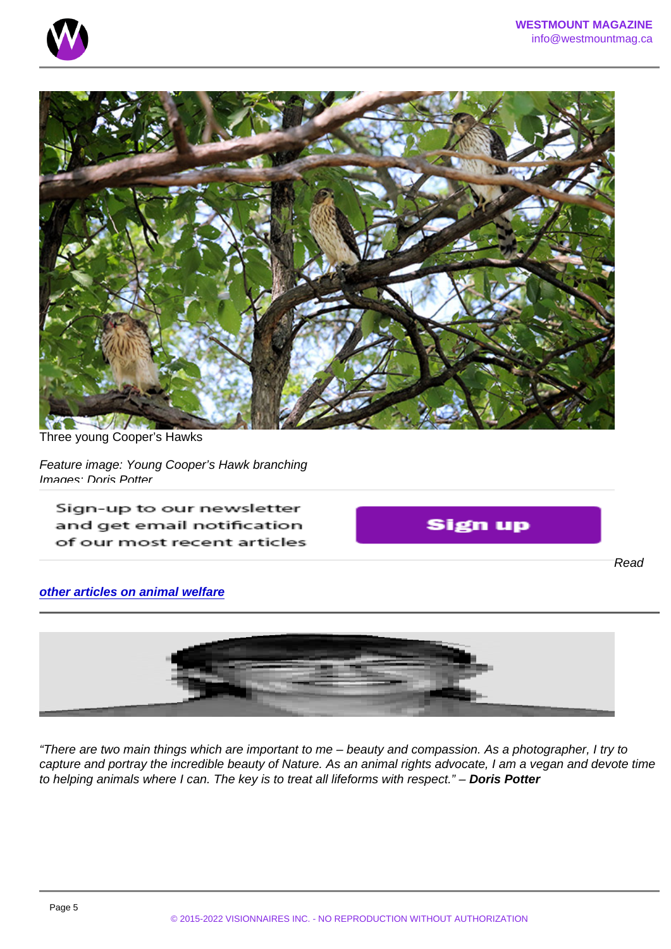Three young Cooper's Hawks

Feature image: Young Cooper's Hawk branching Images: Doris Potter

Read

other articles on animal welfare

"There are two main things which are important to me – beauty and compassion. As a photographer, I try to capture and portray the incredible beauty of Nature. As an animal rights advocate, I am a vegan and devote time to helping animals where I can. The key is to treat all lifeforms with respect." – Doris Potter